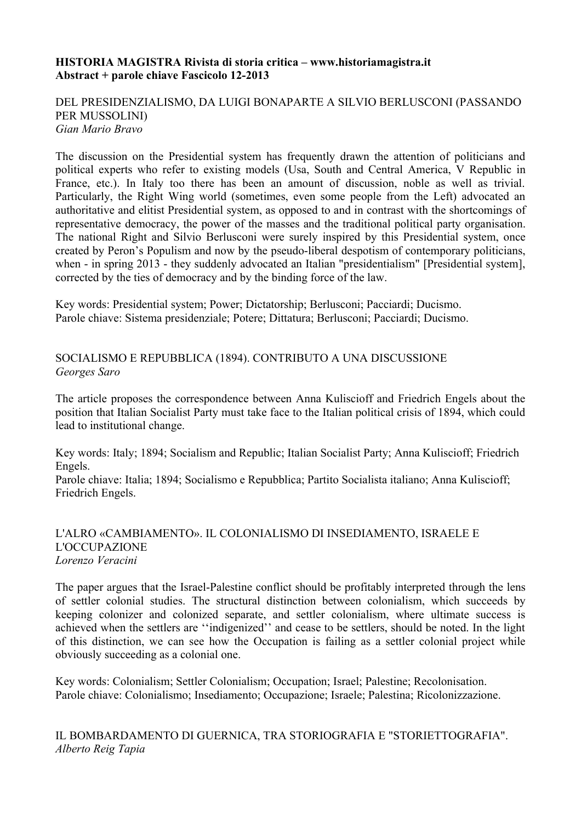## **HISTORIA MAGISTRA Rivista di storia critica – www.historiamagistra.it Abstract + parole chiave Fascicolo 12-2013**

## DEL PRESIDENZIALISMO, DA LUIGI BONAPARTE A SILVIO BERLUSCONI (PASSANDO PER MUSSOLINI) *Gian Mario Bravo*

The discussion on the Presidential system has frequently drawn the attention of politicians and political experts who refer to existing models (Usa, South and Central America, V Republic in France, etc.). In Italy too there has been an amount of discussion, noble as well as trivial. Particularly, the Right Wing world (sometimes, even some people from the Left) advocated an authoritative and elitist Presidential system, as opposed to and in contrast with the shortcomings of representative democracy, the power of the masses and the traditional political party organisation. The national Right and Silvio Berlusconi were surely inspired by this Presidential system, once created by Peron's Populism and now by the pseudo-liberal despotism of contemporary politicians, when - in spring 2013 - they suddenly advocated an Italian "presidentialism" [Presidential system], corrected by the ties of democracy and by the binding force of the law.

Key words: Presidential system; Power; Dictatorship; Berlusconi; Pacciardi; Ducismo. Parole chiave: Sistema presidenziale; Potere; Dittatura; Berlusconi; Pacciardi; Ducismo.

SOCIALISMO E REPUBBLICA (1894). CONTRIBUTO A UNA DISCUSSIONE *Georges Saro*

The article proposes the correspondence between Anna Kuliscioff and Friedrich Engels about the position that Italian Socialist Party must take face to the Italian political crisis of 1894, which could lead to institutional change.

Key words: Italy; 1894; Socialism and Republic; Italian Socialist Party; Anna Kuliscioff; Friedrich Engels.

Parole chiave: Italia; 1894; Socialismo e Repubblica; Partito Socialista italiano; Anna Kuliscioff; Friedrich Engels.

## L'ALRO «CAMBIAMENTO». IL COLONIALISMO DI INSEDIAMENTO, ISRAELE E L'OCCUPAZIONE *Lorenzo Veracini*

The paper argues that the Israel-Palestine conflict should be profitably interpreted through the lens of settler colonial studies. The structural distinction between colonialism, which succeeds by keeping colonizer and colonized separate, and settler colonialism, where ultimate success is achieved when the settlers are ''indigenized'' and cease to be settlers, should be noted. In the light of this distinction, we can see how the Occupation is failing as a settler colonial project while obviously succeeding as a colonial one.

Key words: Colonialism; Settler Colonialism; Occupation; Israel; Palestine; Recolonisation. Parole chiave: Colonialismo; Insediamento; Occupazione; Israele; Palestina; Ricolonizzazione.

IL BOMBARDAMENTO DI GUERNICA, TRA STORIOGRAFIA E "STORIETTOGRAFIA". *Alberto Reig Tapia*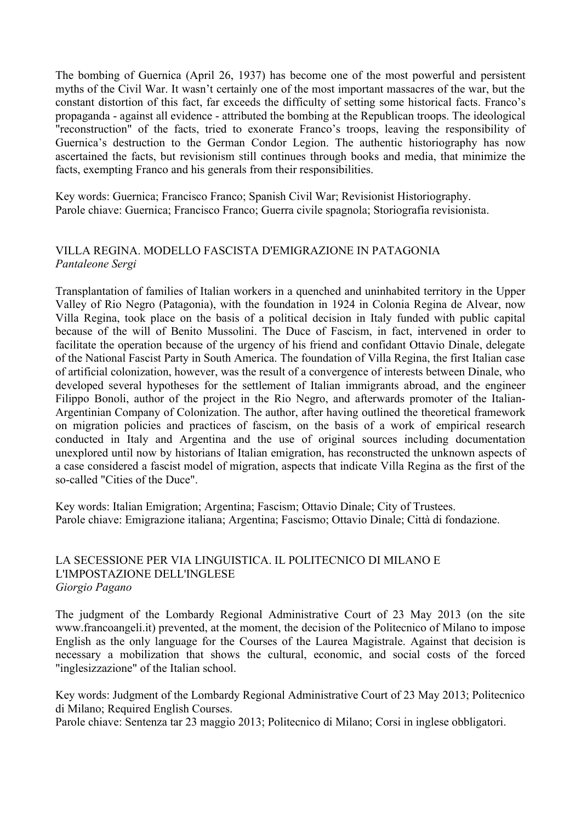The bombing of Guernica (April 26, 1937) has become one of the most powerful and persistent myths of the Civil War. It wasn't certainly one of the most important massacres of the war, but the constant distortion of this fact, far exceeds the difficulty of setting some historical facts. Franco's propaganda - against all evidence - attributed the bombing at the Republican troops. The ideological "reconstruction" of the facts, tried to exonerate Franco's troops, leaving the responsibility of Guernica's destruction to the German Condor Legion. The authentic historiography has now ascertained the facts, but revisionism still continues through books and media, that minimize the facts, exempting Franco and his generals from their responsibilities.

Key words: Guernica; Francisco Franco; Spanish Civil War; Revisionist Historiography. Parole chiave: Guernica; Francisco Franco; Guerra civile spagnola; Storiografia revisionista.

# VILLA REGINA. MODELLO FASCISTA D'EMIGRAZIONE IN PATAGONIA *Pantaleone Sergi*

Transplantation of families of Italian workers in a quenched and uninhabited territory in the Upper Valley of Rio Negro (Patagonia), with the foundation in 1924 in Colonia Regina de Alvear, now Villa Regina, took place on the basis of a political decision in Italy funded with public capital because of the will of Benito Mussolini. The Duce of Fascism, in fact, intervened in order to facilitate the operation because of the urgency of his friend and confidant Ottavio Dinale, delegate of the National Fascist Party in South America. The foundation of Villa Regina, the first Italian case of artificial colonization, however, was the result of a convergence of interests between Dinale, who developed several hypotheses for the settlement of Italian immigrants abroad, and the engineer Filippo Bonoli, author of the project in the Rio Negro, and afterwards promoter of the Italian-Argentinian Company of Colonization. The author, after having outlined the theoretical framework on migration policies and practices of fascism, on the basis of a work of empirical research conducted in Italy and Argentina and the use of original sources including documentation unexplored until now by historians of Italian emigration, has reconstructed the unknown aspects of a case considered a fascist model of migration, aspects that indicate Villa Regina as the first of the so-called "Cities of the Duce".

Key words: Italian Emigration; Argentina; Fascism; Ottavio Dinale; City of Trustees. Parole chiave: Emigrazione italiana; Argentina; Fascismo; Ottavio Dinale; Città di fondazione.

# LA SECESSIONE PER VIA LINGUISTICA. IL POLITECNICO DI MILANO E L'IMPOSTAZIONE DELL'INGLESE *Giorgio Pagano*

The judgment of the Lombardy Regional Administrative Court of 23 May 2013 (on the site www.francoangeli.it) prevented, at the moment, the decision of the Politecnico of Milano to impose English as the only language for the Courses of the Laurea Magistrale. Against that decision is necessary a mobilization that shows the cultural, economic, and social costs of the forced "inglesizzazione" of the Italian school.

Key words: Judgment of the Lombardy Regional Administrative Court of 23 May 2013; Politecnico di Milano; Required English Courses.

Parole chiave: Sentenza tar 23 maggio 2013; Politecnico di Milano; Corsi in inglese obbligatori.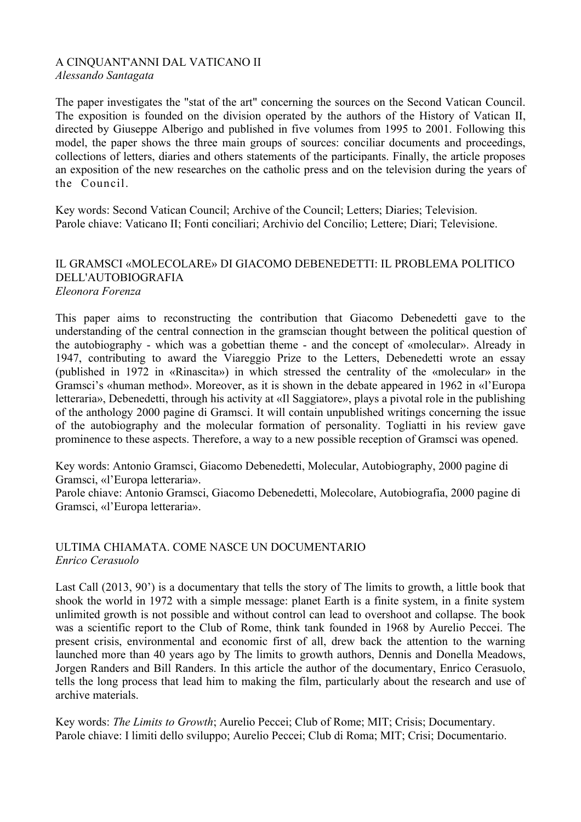#### A CINQUANT'ANNI DAL VATICANO II *Alessando Santagata*

The paper investigates the "stat of the art" concerning the sources on the Second Vatican Council. The exposition is founded on the division operated by the authors of the History of Vatican II, directed by Giuseppe Alberigo and published in five volumes from 1995 to 2001. Following this model, the paper shows the three main groups of sources: conciliar documents and proceedings, collections of letters, diaries and others statements of the participants. Finally, the article proposes an exposition of the new researches on the catholic press and on the television during the years of the Council.

Key words: Second Vatican Council; Archive of the Council; Letters; Diaries; Television. Parole chiave: Vaticano II; Fonti conciliari; Archivio del Concilio; Lettere; Diari; Televisione.

## IL GRAMSCI «MOLECOLARE» DI GIACOMO DEBENEDETTI: IL PROBLEMA POLITICO DELL'AUTOBIOGRAFIA *Eleonora Forenza*

This paper aims to reconstructing the contribution that Giacomo Debenedetti gave to the understanding of the central connection in the gramscian thought between the political question of the autobiography - which was a gobettian theme - and the concept of «molecular». Already in 1947, contributing to award the Viareggio Prize to the Letters, Debenedetti wrote an essay (published in 1972 in «Rinascita») in which stressed the centrality of the «molecular» in the Gramsci's «human method». Moreover, as it is shown in the debate appeared in 1962 in «l'Europa letteraria», Debenedetti, through his activity at «Il Saggiatore», plays a pivotal role in the publishing of the anthology 2000 pagine di Gramsci. It will contain unpublished writings concerning the issue of the autobiography and the molecular formation of personality. Togliatti in his review gave prominence to these aspects. Therefore, a way to a new possible reception of Gramsci was opened.

Key words: Antonio Gramsci, Giacomo Debenedetti, Molecular, Autobiography, 2000 pagine di Gramsci, «l'Europa letteraria».

Parole chiave: Antonio Gramsci, Giacomo Debenedetti, Molecolare, Autobiografia, 2000 pagine di Gramsci, «l'Europa letteraria».

# ULTIMA CHIAMATA. COME NASCE UN DOCUMENTARIO *Enrico Cerasuolo*

Last Call (2013, 90') is a documentary that tells the story of The limits to growth, a little book that shook the world in 1972 with a simple message: planet Earth is a finite system, in a finite system unlimited growth is not possible and without control can lead to overshoot and collapse. The book was a scientific report to the Club of Rome, think tank founded in 1968 by Aurelio Peccei. The present crisis, environmental and economic first of all, drew back the attention to the warning launched more than 40 years ago by The limits to growth authors, Dennis and Donella Meadows, Jorgen Randers and Bill Randers. In this article the author of the documentary, Enrico Cerasuolo, tells the long process that lead him to making the film, particularly about the research and use of archive materials.

Key words: *The Limits to Growth*; Aurelio Peccei; Club of Rome; MIT; Crisis; Documentary. Parole chiave: I limiti dello sviluppo; Aurelio Peccei; Club di Roma; MIT; Crisi; Documentario.